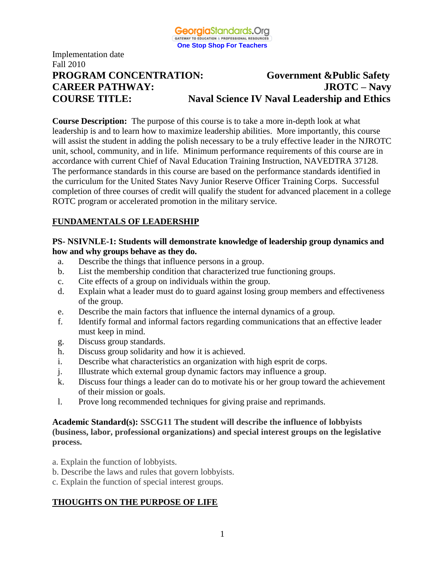

# Fall 2010 **PROGRAM CONCENTRATION: Government &Public Safety CAREER PATHWAY: JROTC – Navy COURSE TITLE: Naval Science IV Naval Leadership and Ethics**

**Course Description:** The purpose of this course is to take a more in-depth look at what leadership is and to learn how to maximize leadership abilities. More importantly, this course will assist the student in adding the polish necessary to be a truly effective leader in the NJROTC unit, school, community, and in life. Minimum performance requirements of this course are in accordance with current Chief of Naval Education Training Instruction, NAVEDTRA 37128. The performance standards in this course are based on the performance standards identified in the curriculum for the United States Navy Junior Reserve Officer Training Corps. Successful completion of three courses of credit will qualify the student for advanced placement in a college ROTC program or accelerated promotion in the military service.

## **FUNDAMENTALS OF LEADERSHIP**

Implementation date

#### **PS- NSIVNLE-1: Students will demonstrate knowledge of leadership group dynamics and how and why groups behave as they do.**

- a. Describe the things that influence persons in a group.
- b. List the membership condition that characterized true functioning groups.
- c. Cite effects of a group on individuals within the group.
- d. Explain what a leader must do to guard against losing group members and effectiveness of the group.
- e. Describe the main factors that influence the internal dynamics of a group.
- f. Identify formal and informal factors regarding communications that an effective leader must keep in mind.
- g. Discuss group standards.
- h. Discuss group solidarity and how it is achieved.
- i. Describe what characteristics an organization with high esprit de corps.
- j. Illustrate which external group dynamic factors may influence a group.
- k. Discuss four things a leader can do to motivate his or her group toward the achievement of their mission or goals.
- l. Prove long recommended techniques for giving praise and reprimands.

## **Academic Standard(s): SSCG11 The student will describe the influence of lobbyists (business, labor, professional organizations) and special interest groups on the legislative process.**

- a. Explain the function of lobbyists.
- b. Describe the laws and rules that govern lobbyists.
- c. Explain the function of special interest groups.

## **THOUGHTS ON THE PURPOSE OF LIFE**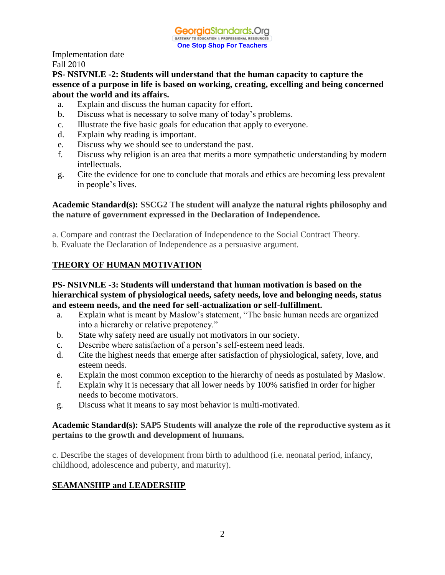## **PS- NSIVNLE -2: Students will understand that the human capacity to capture the essence of a purpose in life is based on working, creating, excelling and being concerned about the world and its affairs.**

- a. Explain and discuss the human capacity for effort.
- b. Discuss what is necessary to solve many of today's problems.
- c. Illustrate the five basic goals for education that apply to everyone.
- d. Explain why reading is important.
- e. Discuss why we should see to understand the past.
- f. Discuss why religion is an area that merits a more sympathetic understanding by modern intellectuals.
- g. Cite the evidence for one to conclude that morals and ethics are becoming less prevalent in people's lives.

## **Academic Standard(s): SSCG2 The student will analyze the natural rights philosophy and the nature of government expressed in the Declaration of Independence.**

- a. Compare and contrast the Declaration of Independence to the Social Contract Theory.
- b. Evaluate the Declaration of Independence as a persuasive argument.

## **THEORY OF HUMAN MOTIVATION**

#### **PS- NSIVNLE -3: Students will understand that human motivation is based on the hierarchical system of physiological needs, safety needs, love and belonging needs, status and esteem needs, and the need for self-actualization or self-fulfillment.**

- a. Explain what is meant by Maslow's statement, "The basic human needs are organized into a hierarchy or relative prepotency."
- b. State why safety need are usually not motivators in our society.
- c. Describe where satisfaction of a person's self-esteem need leads.
- d. Cite the highest needs that emerge after satisfaction of physiological, safety, love, and esteem needs.
- e. Explain the most common exception to the hierarchy of needs as postulated by Maslow.
- f. Explain why it is necessary that all lower needs by 100% satisfied in order for higher needs to become motivators.
- g. Discuss what it means to say most behavior is multi-motivated.

#### **Academic Standard(s): SAP5 Students will analyze the role of the reproductive system as it pertains to the growth and development of humans.**

c. Describe the stages of development from birth to adulthood (i.e. neonatal period, infancy, childhood, adolescence and puberty, and maturity).

## **SEAMANSHIP and LEADERSHIP**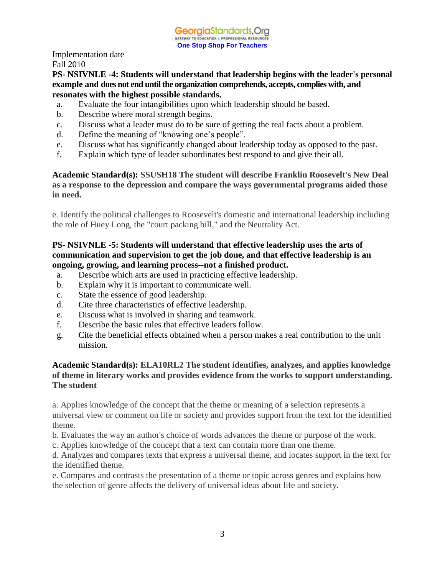#### **PS- NSIVNLE -4: Students will understand that leadership begins with the leader's personal example and does not end until the organization comprehends, accepts, complies with, and resonates with the highest possible standards.**

- a. Evaluate the four intangibilities upon which leadership should be based.
- b. Describe where moral strength begins.
- c. Discuss what a leader must do to be sure of getting the real facts about a problem.
- d. Define the meaning of "knowing one's people".
- e. Discuss what has significantly changed about leadership today as opposed to the past.
- f. Explain which type of leader subordinates best respond to and give their all.

## **Academic Standard(s): SSUSH18 The student will describe Franklin Roosevelt's New Deal as a response to the depression and compare the ways governmental programs aided those in need.**

e. Identify the political challenges to Roosevelt's domestic and international leadership including the role of Huey Long, the "court packing bill," and the Neutrality Act.

## **PS- NSIVNLE -5: Students will understand that effective leadership uses the arts of communication and supervision to get the job done, and that effective leadership is an ongoing, growing, and learning process--not a finished product.**

- a. Describe which arts are used in practicing effective leadership.
- b. Explain why it is important to communicate well.
- c. State the essence of good leadership.
- d. Cite three characteristics of effective leadership.
- e. Discuss what is involved in sharing and teamwork.
- f. Describe the basic rules that effective leaders follow.
- g. Cite the beneficial effects obtained when a person makes a real contribution to the unit mission.

## **Academic Standard(s): ELA10RL2 The student identifies, analyzes, and applies knowledge of theme in literary works and provides evidence from the works to support understanding. The student**

a. Applies knowledge of the concept that the theme or meaning of a selection represents a universal view or comment on life or society and provides support from the text for the identified theme.

b. Evaluates the way an author's choice of words advances the theme or purpose of the work.

c. Applies knowledge of the concept that a text can contain more than one theme.

d. Analyzes and compares texts that express a universal theme, and locates support in the text for the identified theme.

e. Compares and contrasts the presentation of a theme or topic across genres and explains how the selection of genre affects the delivery of universal ideas about life and society.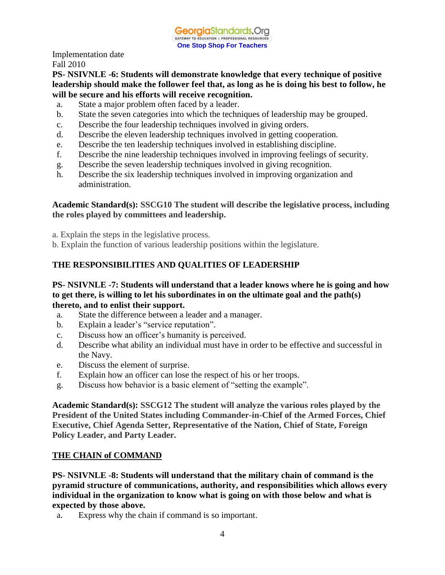**PS- NSIVNLE -6: Students will demonstrate knowledge that every technique of positive leadership should make the follower feel that, as long as he is doing his best to follow, he will be secure and his efforts will receive recognition.**

- a. State a major problem often faced by a leader.
- b. State the seven categories into which the techniques of leadership may be grouped.
- c. Describe the four leadership techniques involved in giving orders.
- d. Describe the eleven leadership techniques involved in getting cooperation.
- e. Describe the ten leadership techniques involved in establishing discipline.
- f. Describe the nine leadership techniques involved in improving feelings of security.
- g. Describe the seven leadership techniques involved in giving recognition.
- h. Describe the six leadership techniques involved in improving organization and administration.

## **Academic Standard(s): SSCG10 The student will describe the legislative process, including the roles played by committees and leadership.**

a. Explain the steps in the legislative process.

b. Explain the function of various leadership positions within the legislature.

## **THE RESPONSIBILITIES AND QUALITIES OF LEADERSHIP**

#### **PS- NSIVNLE -7: Students will understand that a leader knows where he is going and how to get there, is willing to let his subordinates in on the ultimate goal and the path(s) thereto, and to enlist their support.**

- a. State the difference between a leader and a manager.
- b. Explain a leader's "service reputation".
- c. Discuss how an officer's humanity is perceived.
- d. Describe what ability an individual must have in order to be effective and successful in the Navy.
- e. Discuss the element of surprise.
- f. Explain how an officer can lose the respect of his or her troops.
- g. Discuss how behavior is a basic element of "setting the example".

**Academic Standard(s): SSCG12 The student will analyze the various roles played by the President of the United States including Commander-in-Chief of the Armed Forces, Chief Executive, Chief Agenda Setter, Representative of the Nation, Chief of State, Foreign Policy Leader, and Party Leader.**

#### **THE CHAIN of COMMAND**

**PS- NSIVNLE -8: Students will understand that the military chain of command is the pyramid structure of communications, authority, and responsibilities which allows every individual in the organization to know what is going on with those below and what is expected by those above.**

a. Express why the chain if command is so important.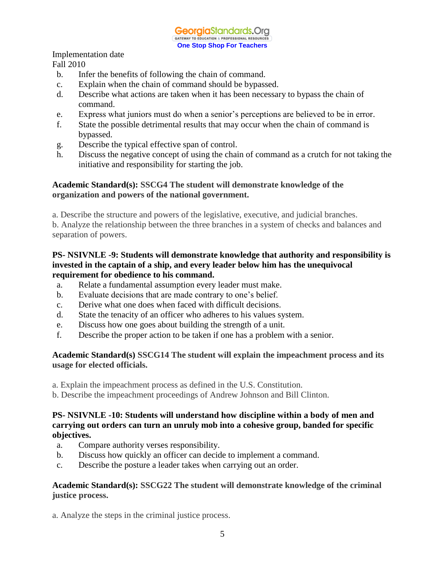- b. Infer the benefits of following the chain of command.
- c. Explain when the chain of command should be bypassed.
- d. Describe what actions are taken when it has been necessary to bypass the chain of command.
- e. Express what juniors must do when a senior's perceptions are believed to be in error.
- f. State the possible detrimental results that may occur when the chain of command is bypassed.
- g. Describe the typical effective span of control.
- h. Discuss the negative concept of using the chain of command as a crutch for not taking the initiative and responsibility for starting the job.

#### **Academic Standard(s): SSCG4 The student will demonstrate knowledge of the organization and powers of the national government.**

a. Describe the structure and powers of the legislative, executive, and judicial branches.

b. Analyze the relationship between the three branches in a system of checks and balances and separation of powers.

#### **PS- NSIVNLE -9: Students will demonstrate knowledge that authority and responsibility is invested in the captain of a ship, and every leader below him has the unequivocal requirement for obedience to his command.**

- a. Relate a fundamental assumption every leader must make.
- b. Evaluate decisions that are made contrary to one's belief.
- c. Derive what one does when faced with difficult decisions.
- d. State the tenacity of an officer who adheres to his values system.
- e. Discuss how one goes about building the strength of a unit.
- f. Describe the proper action to be taken if one has a problem with a senior.

## **Academic Standard(s) SSCG14 The student will explain the impeachment process and its usage for elected officials.**

- a. Explain the impeachment process as defined in the U.S. Constitution.
- b. Describe the impeachment proceedings of Andrew Johnson and Bill Clinton.

## **PS- NSIVNLE -10: Students will understand how discipline within a body of men and carrying out orders can turn an unruly mob into a cohesive group, banded for specific objectives.**

- a. Compare authority verses responsibility.
- b. Discuss how quickly an officer can decide to implement a command.
- c. Describe the posture a leader takes when carrying out an order.

#### **Academic Standard(s): SSCG22 The student will demonstrate knowledge of the criminal justice process.**

a. Analyze the steps in the criminal justice process.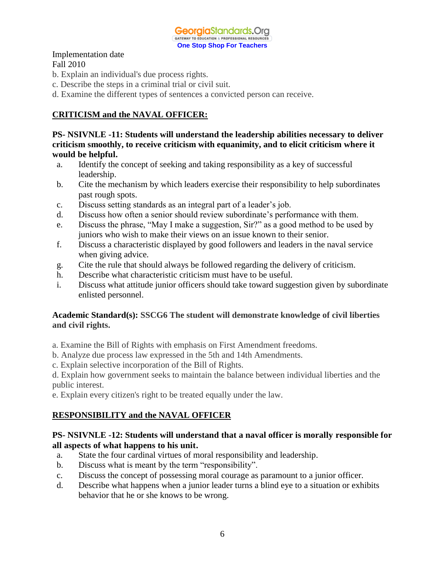

- b. Explain an individual's due process rights.
- c. Describe the steps in a criminal trial or civil suit.
- d. Examine the different types of sentences a convicted person can receive.

## **CRITICISM and the NAVAL OFFICER:**

**PS- NSIVNLE -11: Students will understand the leadership abilities necessary to deliver criticism smoothly, to receive criticism with equanimity, and to elicit criticism where it would be helpful.**

- a. Identify the concept of seeking and taking responsibility as a key of successful leadership.
- b. Cite the mechanism by which leaders exercise their responsibility to help subordinates past rough spots.
- c. Discuss setting standards as an integral part of a leader's job.
- d. Discuss how often a senior should review subordinate's performance with them.
- e. Discuss the phrase, "May I make a suggestion, Sir?" as a good method to be used by juniors who wish to make their views on an issue known to their senior.
- f. Discuss a characteristic displayed by good followers and leaders in the naval service when giving advice.
- g. Cite the rule that should always be followed regarding the delivery of criticism.
- h. Describe what characteristic criticism must have to be useful.
- i. Discuss what attitude junior officers should take toward suggestion given by subordinate enlisted personnel.

#### **Academic Standard(s): SSCG6 The student will demonstrate knowledge of civil liberties and civil rights.**

- a. Examine the Bill of Rights with emphasis on First Amendment freedoms.
- b. Analyze due process law expressed in the 5th and 14th Amendments.
- c. Explain selective incorporation of the Bill of Rights.

d. Explain how government seeks to maintain the balance between individual liberties and the public interest.

e. Explain every citizen's right to be treated equally under the law.

## **RESPONSIBILITY and the NAVAL OFFICER**

#### **PS- NSIVNLE -12: Students will understand that a naval officer is morally responsible for all aspects of what happens to his unit.**

- a. State the four cardinal virtues of moral responsibility and leadership.
- b. Discuss what is meant by the term "responsibility".
- c. Discuss the concept of possessing moral courage as paramount to a junior officer.
- d. Describe what happens when a junior leader turns a blind eye to a situation or exhibits behavior that he or she knows to be wrong.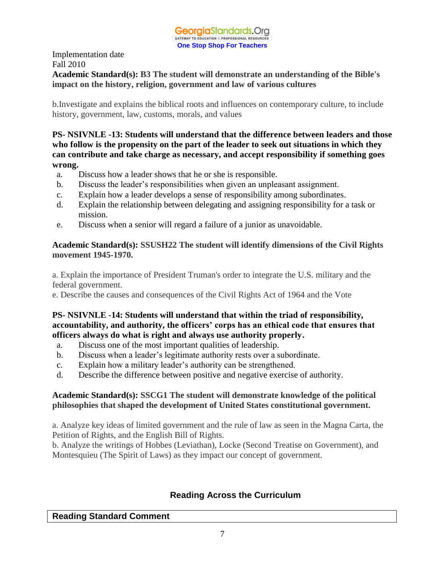## **Academic Standard(s): B3 The student will demonstrate an understanding of the Bible's impact on the history, religion, government and law of various cultures**

b.Investigate and explains the biblical roots and influences on contemporary culture, to include history, government, law, customs, morals, and values

**PS- NSIVNLE -13: Students will understand that the difference between leaders and those who follow is the propensity on the part of the leader to seek out situations in which they can contribute and take charge as necessary, and accept responsibility if something goes wrong.**

- a. Discuss how a leader shows that he or she is responsible.
- b. Discuss the leader's responsibilities when given an unpleasant assignment.
- c. Explain how a leader develops a sense of responsibility among subordinates.
- d. Explain the relationship between delegating and assigning responsibility for a task or mission.
- e. Discuss when a senior will regard a failure of a junior as unavoidable.

## **Academic Standard(s): SSUSH22 The student will identify dimensions of the Civil Rights movement 1945-1970.**

a. Explain the importance of President Truman's order to integrate the U.S. military and the federal government.

e. Describe the causes and consequences of the Civil Rights Act of 1964 and the Vote

## **PS- NSIVNLE -14: Students will understand that within the triad of responsibility, accountability, and authority, the officers' corps has an ethical code that ensures that officers always do what is right and always use authority properly.**

- a. Discuss one of the most important qualities of leadership.
- b. Discuss when a leader's legitimate authority rests over a subordinate.
- c. Explain how a military leader's authority can be strengthened.
- d. Describe the difference between positive and negative exercise of authority.

## **Academic Standard(s): SSCG1 The student will demonstrate knowledge of the political philosophies that shaped the development of United States constitutional government.**

a. Analyze key ideas of limited government and the rule of law as seen in the Magna Carta, the Petition of Rights, and the English Bill of Rights.

b. Analyze the writings of Hobbes (Leviathan), Locke (Second Treatise on Government), and Montesquieu (The Spirit of Laws) as they impact our concept of government.

## **Reading Across the Curriculum**

## **Reading Standard Comment**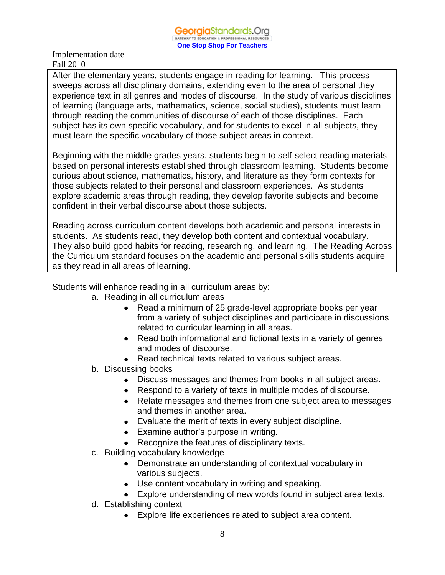After the elementary years, students engage in reading for learning. This process sweeps across all disciplinary domains, extending even to the area of personal they experience text in all genres and modes of discourse. In the study of various disciplines of learning (language arts, mathematics, science, social studies), students must learn through reading the communities of discourse of each of those disciplines. Each subject has its own specific vocabulary, and for students to excel in all subjects, they must learn the specific vocabulary of those subject areas in context.

Beginning with the middle grades years, students begin to self-select reading materials based on personal interests established through classroom learning. Students become curious about science, mathematics, history, and literature as they form contexts for those subjects related to their personal and classroom experiences. As students explore academic areas through reading, they develop favorite subjects and become confident in their verbal discourse about those subjects.

Reading across curriculum content develops both academic and personal interests in students. As students read, they develop both content and contextual vocabulary. They also build good habits for reading, researching, and learning. The Reading Across the Curriculum standard focuses on the academic and personal skills students acquire as they read in all areas of learning.

Students will enhance reading in all curriculum areas by:

- a. Reading in all curriculum areas
	- Read a minimum of 25 grade-level appropriate books per year from a variety of subject disciplines and participate in discussions related to curricular learning in all areas.
	- Read both informational and fictional texts in a variety of genres and modes of discourse.
	- Read technical texts related to various subject areas.
- b. Discussing books
	- Discuss messages and themes from books in all subject areas.
	- Respond to a variety of texts in multiple modes of discourse.
	- Relate messages and themes from one subject area to messages and themes in another area.
	- Evaluate the merit of texts in every subject discipline.
	- Examine author's purpose in writing.
	- Recognize the features of disciplinary texts.
- c. Building vocabulary knowledge
	- Demonstrate an understanding of contextual vocabulary in various subjects.
	- Use content vocabulary in writing and speaking.
	- Explore understanding of new words found in subject area texts.
- d. Establishing context
	- Explore life experiences related to subject area content.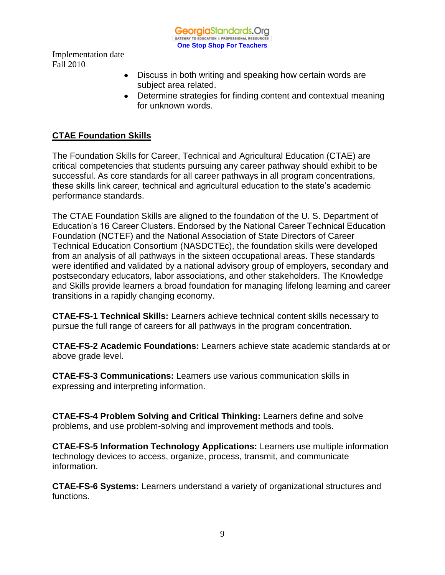GeorgiaStandards.Org GATEWAY TO EDUCATION & PROFESSIONAL RESOURCE **One Stop Shop For Teachers**

Implementation date Fall 2010

- Discuss in both writing and speaking how certain words are subject area related.
- Determine strategies for finding content and contextual meaning for unknown words.

## **CTAE Foundation Skills**

The Foundation Skills for Career, Technical and Agricultural Education (CTAE) are critical competencies that students pursuing any career pathway should exhibit to be successful. As core standards for all career pathways in all program concentrations, these skills link career, technical and agricultural education to the state's academic performance standards.

The CTAE Foundation Skills are aligned to the foundation of the U. S. Department of Education's 16 Career Clusters. Endorsed by the National Career Technical Education Foundation (NCTEF) and the National Association of State Directors of Career Technical Education Consortium (NASDCTEc), the foundation skills were developed from an analysis of all pathways in the sixteen occupational areas. These standards were identified and validated by a national advisory group of employers, secondary and postsecondary educators, labor associations, and other stakeholders. The Knowledge and Skills provide learners a broad foundation for managing lifelong learning and career transitions in a rapidly changing economy.

**CTAE-FS-1 Technical Skills:** Learners achieve technical content skills necessary to pursue the full range of careers for all pathways in the program concentration.

**CTAE-FS-2 Academic Foundations:** Learners achieve state academic standards at or above grade level.

**CTAE-FS-3 Communications:** Learners use various communication skills in expressing and interpreting information.

**CTAE-FS-4 Problem Solving and Critical Thinking:** Learners define and solve problems, and use problem-solving and improvement methods and tools.

**CTAE-FS-5 Information Technology Applications:** Learners use multiple information technology devices to access, organize, process, transmit, and communicate information.

**CTAE-FS-6 Systems:** Learners understand a variety of organizational structures and functions.